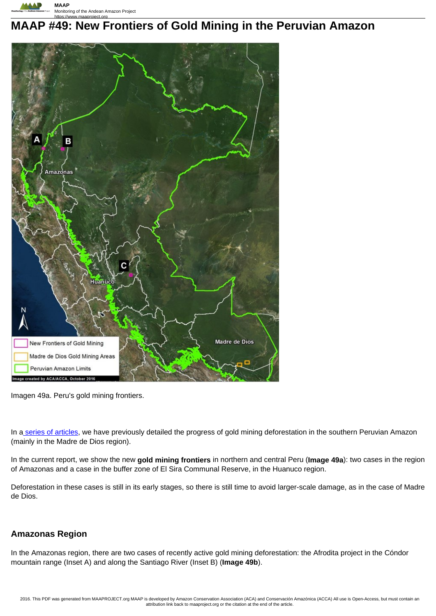

# **MAAP #49: New Frontiers of Gold Mining in the Peruvian Amazon**



Imagen 49a. Peru's gold mining frontiers.

In a series of articles, we have previously detailed the progress of gold mining deforestation in the southern Peruvian Amazon (mainly in the Madre de Dios region).

In the current report, we show the new **gold mining frontiers** in northern and central Peru (**Image 49a**): two cases in the region of Amazonas and a case in the buffer zone of El Sira Communal Reserve, in the Huanuco region.

Deforestation in these cases is still in its early stages, so there is still time to avoid larger-scale damage, as in the case of Madre de Dios.

### **Amazonas Region**

In the Amazonas region, there are two cases of recently active gold mining deforestation: the Afrodita project in the Cóndor mountain range (Inset A) and along the Santiago River (Inset B) (**Image 49b**).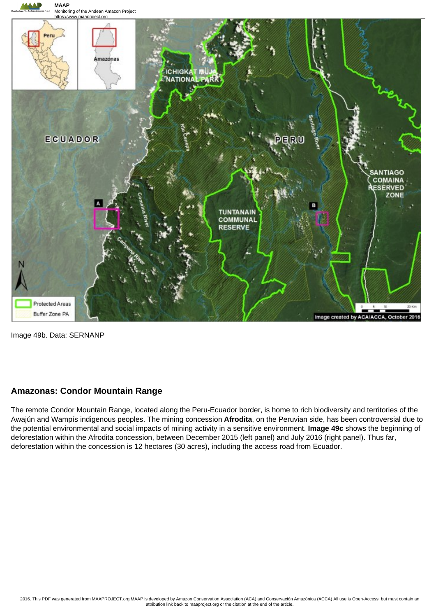

Image 49b. Data: SERNANP

#### **Amazonas: Condor Mountain Range**

The remote Condor Mountain Range, located along the Peru-Ecuador border, is home to rich biodiversity and territories of the Awajún and Wampís indigenous peoples. The mining concession **Afrodita**, on the Peruvian side, has been controversial due to the potential environmental and social impacts of mining activity in a sensitive environment. **Image 49c** shows the beginning of deforestation within the Afrodita concession, between December 2015 (left panel) and July 2016 (right panel). Thus far, deforestation within the concession is 12 hectares (30 acres), including the access road from Ecuador.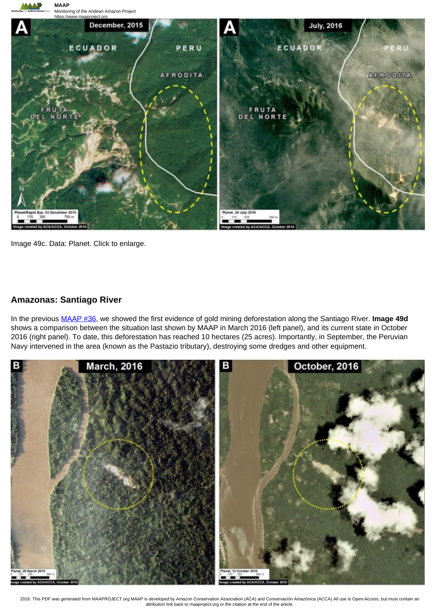

Image 49c. Data: Planet. Click to enlarge.

#### **Amazonas: Santiago River**

In the previous MAAP #36, we showed the first evidence of gold mining deforestation along the Santiago River. **Image 49d** shows a comparison between the situation last shown by MAAP in March 2016 (left panel), and its current state in October 2016 (right panel). To date, this deforestation has reached 10 hectares (25 acres). Importantly, in September, the Peruvian Navy intervened in the area (known as the Pastazio tributary), destroying some dredges and other equipment.



2016. This PDF was generated from MAAPROJECT.org MAAP is developed by Amazon Conservation Association (ACA) and Conservación Amazónica (ACCA) All use is Open-Access, but must contain an attribution link back to maaproject.org or the citation at the end of the article.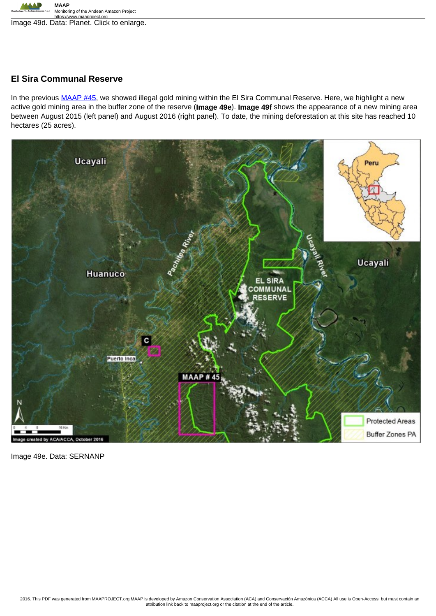

https://www.maaproject.org<br>Image 49d. Data: Planet. Click to enlarge.

#### **El Sira Communal Reserve**

In the previous MAAP #45, we showed illegal gold mining within the El Sira Communal Reserve. Here, we highlight a new active gold mining area in the buffer zone of the reserve (**Image 49e**). **Image 49f** shows the appearance of a new mining area between August 2015 (left panel) and August 2016 (right panel). To date, the mining deforestation at this site has reached 10 hectares (25 acres).



Image 49e. Data: SERNANP